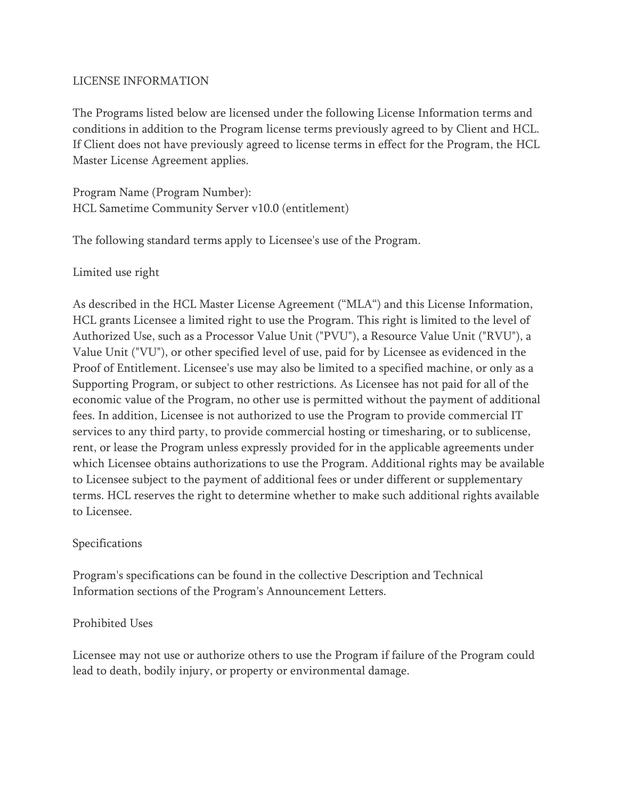### LICENSE INFORMATION

The Programs listed below are licensed under the following License Information terms and conditions in addition to the Program license terms previously agreed to by Client and HCL. If Client does not have previously agreed to license terms in effect for the Program, the HCL Master License Agreement applies.

Program Name (Program Number): HCL Sametime Community Server v10.0 (entitlement)

The following standard terms apply to Licensee's use of the Program.

Limited use right

As described in the HCL Master License Agreement ("MLA") and this License Information, HCL grants Licensee a limited right to use the Program. This right is limited to the level of Authorized Use, such as a Processor Value Unit ("PVU"), a Resource Value Unit ("RVU"), a Value Unit ("VU"), or other specified level of use, paid for by Licensee as evidenced in the Proof of Entitlement. Licensee's use may also be limited to a specified machine, or only as a Supporting Program, or subject to other restrictions. As Licensee has not paid for all of the economic value of the Program, no other use is permitted without the payment of additional fees. In addition, Licensee is not authorized to use the Program to provide commercial IT services to any third party, to provide commercial hosting or timesharing, or to sublicense, rent, or lease the Program unless expressly provided for in the applicable agreements under which Licensee obtains authorizations to use the Program. Additional rights may be available to Licensee subject to the payment of additional fees or under different or supplementary terms. HCL reserves the right to determine whether to make such additional rights available to Licensee.

### Specifications

Program's specifications can be found in the collective Description and Technical Information sections of the Program's Announcement Letters.

# Prohibited Uses

Licensee may not use or authorize others to use the Program if failure of the Program could lead to death, bodily injury, or property or environmental damage.